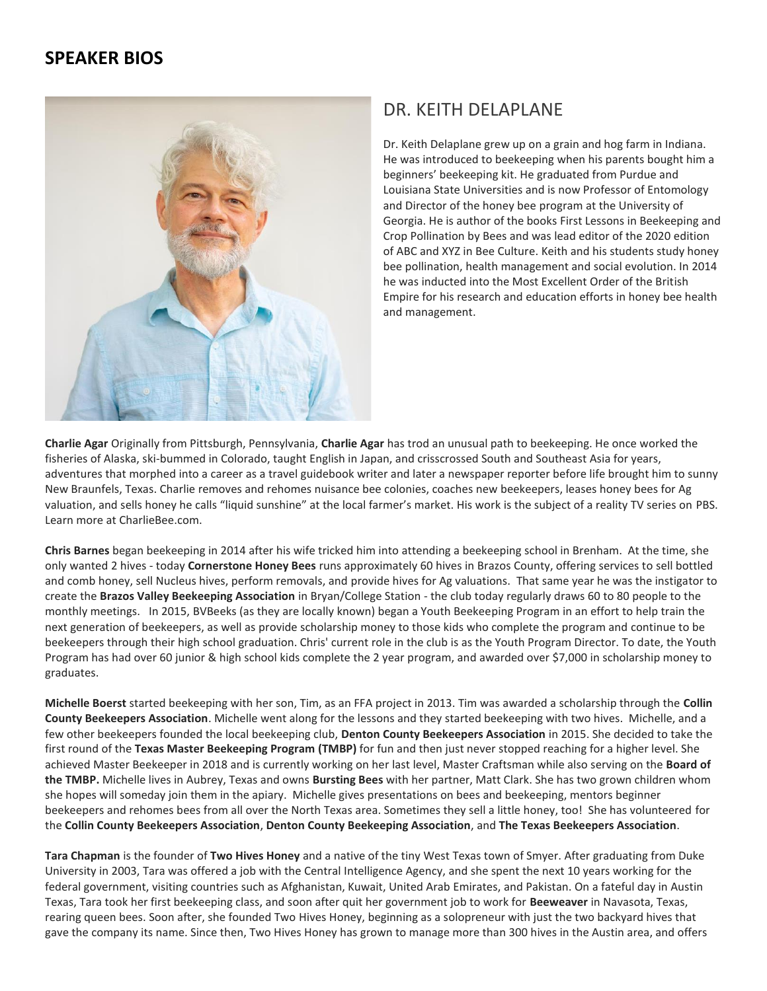## **SPEAKER BIOS**



## DR. KEITH DELAPLANE

Dr. Keith Delaplane grew up on a grain and hog farm in Indiana. He was introduced to beekeeping when his parents bought him a beginners' beekeeping kit. He graduated from Purdue and Louisiana State Universities and is now Professor of Entomology and Director of the honey bee program at the University of Georgia. He is author of the books First Lessons in Beekeeping and Crop Pollination by Bees and was lead editor of the 2020 edition of ABC and XYZ in Bee Culture. Keith and his students study honey bee pollination, health management and social evolution. In 2014 he was inducted into the Most Excellent Order of the British Empire for his research and education efforts in honey bee health and management.

**Charlie Agar** Originally from Pittsburgh, Pennsylvania, **Charlie Agar** has trod an unusual path to beekeeping. He once worked the fisheries of Alaska, ski-bummed in Colorado, taught English in Japan, and crisscrossed South and Southeast Asia for years, adventures that morphed into a career as a travel guidebook writer and later a newspaper reporter before life brought him to sunny New Braunfels, Texas. Charlie removes and rehomes nuisance bee colonies, coaches new beekeepers, leases honey bees for Ag valuation, and sells honey he calls "liquid sunshine" at the local farmer's market. His work is the subject of a reality TV series on PBS. Learn more at CharlieBee.com.

**Chris Barnes** began beekeeping in 2014 after his wife tricked him into attending a beekeeping school in Brenham. At the time, she only wanted 2 hives - today **Cornerstone Honey Bees** runs approximately 60 hives in Brazos County, offering services to sell bottled and comb honey, sell Nucleus hives, perform removals, and provide hives for Ag valuations. That same year he was the instigator to create the **Brazos Valley Beekeeping Association** in Bryan/College Station - the club today regularly draws 60 to 80 people to the monthly meetings. In 2015, BVBeeks (as they are locally known) began a Youth Beekeeping Program in an effort to help train the next generation of beekeepers, as well as provide scholarship money to those kids who complete the program and continue to be beekeepers through their high school graduation. Chris' current role in the club is as the Youth Program Director. To date, the Youth Program has had over 60 junior & high school kids complete the 2 year program, and awarded over \$7,000 in scholarship money to graduates.

**Michelle Boerst** started beekeeping with her son, Tim, as an FFA project in 2013. Tim was awarded a scholarship through the **Collin County Beekeepers Association**. Michelle went along for the lessons and they started beekeeping with two hives. Michelle, and a few other beekeepers founded the local beekeeping club, **Denton County Beekeepers Association** in 2015. She decided to take the first round of the **Texas Master Beekeeping Program (TMBP)** for fun and then just never stopped reaching for a higher level. She achieved Master Beekeeper in 2018 and is currently working on her last level, Master Craftsman while also serving on the **Board of the TMBP.** Michelle lives in Aubrey, Texas and owns **Bursting Bees** with her partner, Matt Clark. She has two grown children whom she hopes will someday join them in the apiary. Michelle gives presentations on bees and beekeeping, mentors beginner beekeepers and rehomes bees from all over the North Texas area. Sometimes they sell a little honey, too! She has volunteered for the **Collin County Beekeepers Association**, **Denton County Beekeeping Association**, and **The Texas Beekeepers Association**.

**Tara Chapman** is the founder of **Two Hives Honey** and a native of the tiny West Texas town of Smyer. After graduating from Duke University in 2003, Tara was offered a job with the Central Intelligence Agency, and she spent the next 10 years working for the federal government, visiting countries such as Afghanistan, Kuwait, United Arab Emirates, and Pakistan. On a fateful day in Austin Texas, Tara took her first beekeeping class, and soon after quit her government job to work for **Beeweaver** in Navasota, Texas, rearing queen bees. Soon after, she founded Two Hives Honey, beginning as a solopreneur with just the two backyard hives that gave the company its name. Since then, Two Hives Honey has grown to manage more than 300 hives in the Austin area, and offers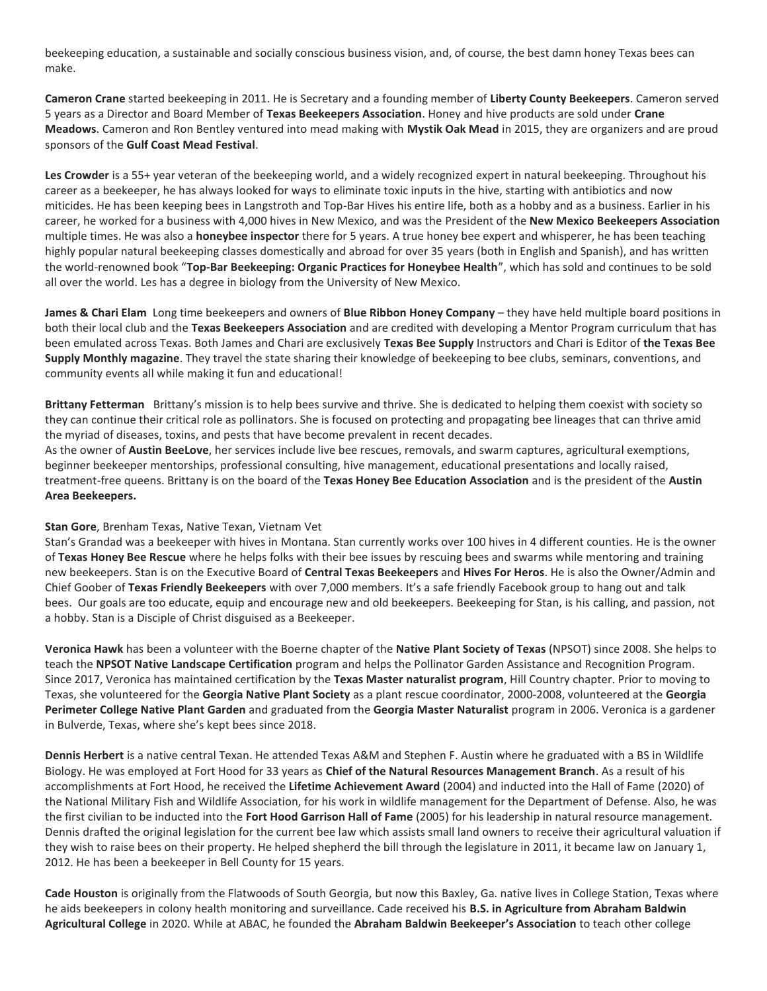beekeeping education, a sustainable and socially conscious business vision, and, of course, the best damn honey Texas bees can make.

**Cameron Crane** started beekeeping in 2011. He is Secretary and a founding member of **Liberty County Beekeepers**. Cameron served 5 years as a Director and Board Member of **Texas Beekeepers Association**. Honey and hive products are sold under **Crane Meadows**. Cameron and Ron Bentley ventured into mead making with **Mystik Oak Mead** in 2015, they are organizers and are proud sponsors of the **Gulf Coast Mead Festival**.

**Les Crowder** is a 55+ year veteran of the beekeeping world, and a widely recognized expert in natural beekeeping. Throughout his career as a beekeeper, he has always looked for ways to eliminate toxic inputs in the hive, starting with antibiotics and now miticides. He has been keeping bees in Langstroth and Top-Bar Hives his entire life, both as a hobby and as a business. Earlier in his career, he worked for a business with 4,000 hives in New Mexico, and was the President of the **New Mexico Beekeepers Association** multiple times. He was also a **honeybee inspector** there for 5 years. A true honey bee expert and whisperer, he has been teaching highly popular natural beekeeping classes domestically and abroad for over 35 years (both in English and Spanish), and has written the world-renowned book "**Top-Bar Beekeeping: Organic Practices for Honeybee Health**", which has sold and continues to be sold all over the world. Les has a degree in biology from the University of New Mexico.

**James & Chari Elam** Long time beekeepers and owners of **Blue Ribbon Honey Company** – they have held multiple board positions in both their local club and the **Texas Beekeepers Association** and are credited with developing a Mentor Program curriculum that has been emulated across Texas. Both James and Chari are exclusively **Texas Bee Supply** Instructors and Chari is Editor of **the Texas Bee Supply Monthly magazine**. They travel the state sharing their knowledge of beekeeping to bee clubs, seminars, conventions, and community events all while making it fun and educational!

**Brittany Fetterman** Brittany's mission is to help bees survive and thrive. She is dedicated to helping them coexist with society so they can continue their critical role as pollinators. She is focused on protecting and propagating bee lineages that can thrive amid the myriad of diseases, toxins, and pests that have become prevalent in recent decades.

As the owner of **Austin BeeLove**, her services include live bee rescues, removals, and swarm captures, agricultural exemptions, beginner beekeeper mentorships, professional consulting, hive management, educational presentations and locally raised, treatment-free queens. Brittany is on the board of the **Texas Honey Bee Education Association** and is the president of the **Austin Area Beekeepers.**

## **Stan Gore**, Brenham Texas, Native Texan, Vietnam Vet

Stan's Grandad was a beekeeper with hives in Montana. Stan currently works over 100 hives in 4 different counties. He is the owner of **Texas Honey Bee Rescue** where he helps folks with their bee issues by rescuing bees and swarms while mentoring and training new beekeepers. Stan is on the Executive Board of **Central Texas Beekeepers** and **Hives For Heros**. He is also the Owner/Admin and Chief Goober of **Texas Friendly Beekeepers** with over 7,000 members. It's a safe friendly Facebook group to hang out and talk bees. Our goals are too educate, equip and encourage new and old beekeepers. Beekeeping for Stan, is his calling, and passion, not a hobby. Stan is a Disciple of Christ disguised as a Beekeeper.

**Veronica Hawk** has been a volunteer with the Boerne chapter of the **Native Plant Society of Texas** (NPSOT) since 2008. She helps to teach the **NPSOT Native Landscape Certification** program and helps the Pollinator Garden Assistance and Recognition Program. Since 2017, Veronica has maintained certification by the **Texas Master naturalist program**, Hill Country chapter. Prior to moving to Texas, she volunteered for the **Georgia Native Plant Society** as a plant rescue coordinator, 2000-2008, volunteered at the **Georgia Perimeter College Native Plant Garden** and graduated from the **Georgia Master Naturalist** program in 2006. Veronica is a gardener in Bulverde, Texas, where she's kept bees since 2018.

**Dennis Herbert** is a native central Texan. He attended Texas A&M and Stephen F. Austin where he graduated with a BS in Wildlife Biology. He was employed at Fort Hood for 33 years as **Chief of the Natural Resources Management Branch**. As a result of his accomplishments at Fort Hood, he received the **Lifetime Achievement Award** (2004) and inducted into the Hall of Fame (2020) of the National Military Fish and Wildlife Association, for his work in wildlife management for the Department of Defense. Also, he was the first civilian to be inducted into the **Fort Hood Garrison Hall of Fame** (2005) for his leadership in natural resource management. Dennis drafted the original legislation for the current bee law which assists small land owners to receive their agricultural valuation if they wish to raise bees on their property. He helped shepherd the bill through the legislature in 2011, it became law on January 1, 2012. He has been a beekeeper in Bell County for 15 years.

**Cade Houston** is originally from the Flatwoods of South Georgia, but now this Baxley, Ga. native lives in College Station, Texas where he aids beekeepers in colony health monitoring and surveillance. Cade received his **B.S. in Agriculture from Abraham Baldwin Agricultural College** in 2020. While at ABAC, he founded the **Abraham Baldwin Beekeeper's Association** to teach other college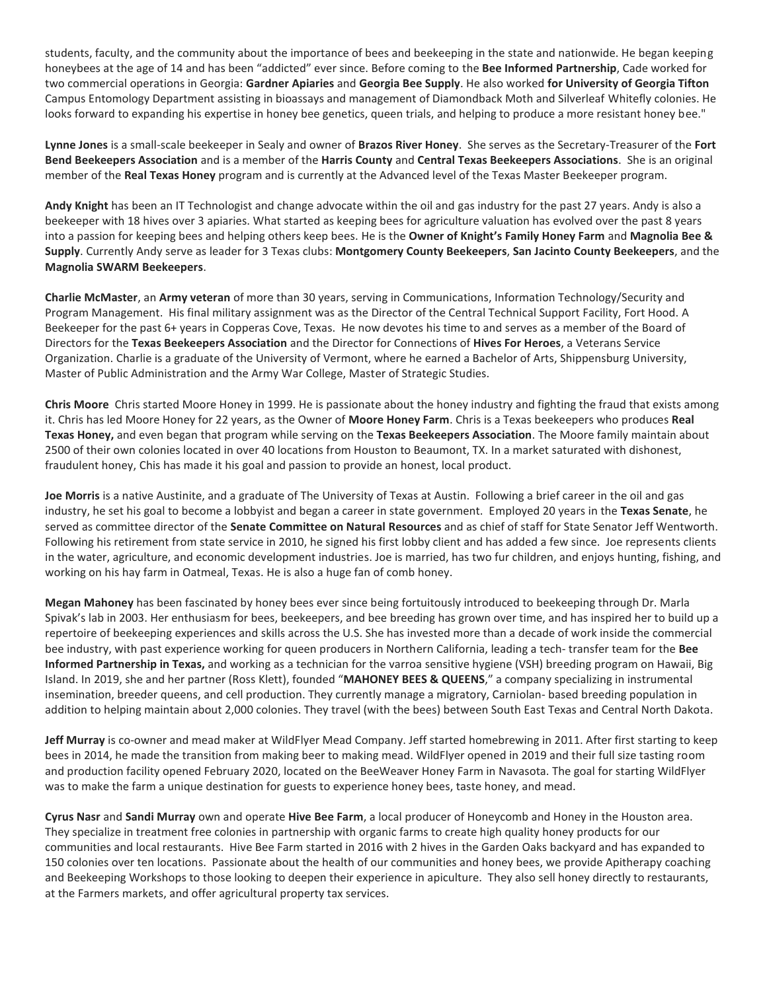students, faculty, and the community about the importance of bees and beekeeping in the state and nationwide. He began keeping honeybees at the age of 14 and has been "addicted" ever since. Before coming to the **Bee Informed Partnership**, Cade worked for two commercial operations in Georgia: **Gardner Apiaries** and **Georgia Bee Supply**. He also worked **for University of Georgia Tifton** Campus Entomology Department assisting in bioassays and management of Diamondback Moth and Silverleaf Whitefly colonies. He looks forward to expanding his expertise in honey bee genetics, queen trials, and helping to produce a more resistant honey bee."

**Lynne Jones** is a small-scale beekeeper in Sealy and owner of **Brazos River Honey**. She serves as the Secretary-Treasurer of the **Fort Bend Beekeepers Association** and is a member of the **Harris County** and **Central Texas Beekeepers Associations**. She is an original member of the **Real Texas Honey** program and is currently at the Advanced level of the Texas Master Beekeeper program.

**Andy Knight** has been an IT Technologist and change advocate within the oil and gas industry for the past 27 years. Andy is also a beekeeper with 18 hives over 3 apiaries. What started as keeping bees for agriculture valuation has evolved over the past 8 years into a passion for keeping bees and helping others keep bees. He is the **Owner of Knight's Family Honey Farm** and **Magnolia Bee & Supply**. Currently Andy serve as leader for 3 Texas clubs: **Montgomery County Beekeepers**, **San Jacinto County Beekeepers**, and the **Magnolia SWARM Beekeepers**.

**Charlie McMaster**, an **Army veteran** of more than 30 years, serving in Communications, Information Technology/Security and Program Management. His final military assignment was as the Director of the Central Technical Support Facility, Fort Hood. A Beekeeper for the past 6+ years in Copperas Cove, Texas. He now devotes his time to and serves as a member of the Board of Directors for the **Texas Beekeepers Association** and the Director for Connections of **Hives For Heroes**, a Veterans Service Organization. Charlie is a graduate of the University of Vermont, where he earned a Bachelor of Arts, Shippensburg University, Master of Public Administration and the Army War College, Master of Strategic Studies.

**Chris Moore** Chris started Moore Honey in 1999. He is passionate about the honey industry and fighting the fraud that exists among it. Chris has led Moore Honey for 22 years, as the Owner of **Moore Honey Farm**. Chris is a Texas beekeepers who produces **Real Texas Honey,** and even began that program while serving on the **Texas Beekeepers Association**. The Moore family maintain about 2500 of their own colonies located in over 40 locations from Houston to Beaumont, TX. In a market saturated with dishonest, fraudulent honey, Chis has made it his goal and passion to provide an honest, local product.

**Joe Morris** is a native Austinite, and a graduate of The University of Texas at Austin. Following a brief career in the oil and gas industry, he set his goal to become a lobbyist and began a career in state government. Employed 20 years in the **Texas Senate**, he served as committee director of the **Senate Committee on Natural Resources** and as chief of staff for State Senator Jeff Wentworth. Following his retirement from state service in 2010, he signed his first lobby client and has added a few since. Joe represents clients in the water, agriculture, and economic development industries. Joe is married, has two fur children, and enjoys hunting, fishing, and working on his hay farm in Oatmeal, Texas. He is also a huge fan of comb honey.

**Megan Mahoney** has been fascinated by honey bees ever since being fortuitously introduced to beekeeping through Dr. Marla Spivak's lab in 2003. Her enthusiasm for bees, beekeepers, and bee breeding has grown over time, and has inspired her to build up a repertoire of beekeeping experiences and skills across the U.S. She has invested more than a decade of work inside the commercial bee industry, with past experience working for queen producers in Northern California, leading a tech- transfer team for the **Bee Informed Partnership in Texas,** and working as a technician for the varroa sensitive hygiene (VSH) breeding program on Hawaii, Big Island. In 2019, she and her partner (Ross Klett), founded "**MAHONEY BEES & QUEENS**," a company specializing in instrumental insemination, breeder queens, and cell production. They currently manage a migratory, Carniolan- based breeding population in addition to helping maintain about 2,000 colonies. They travel (with the bees) between South East Texas and Central North Dakota.

**Jeff Murray** is co-owner and mead maker at WildFlyer Mead Company. Jeff started homebrewing in 2011. After first starting to keep bees in 2014, he made the transition from making beer to making mead. WildFlyer opened in 2019 and their full size tasting room and production facility opened February 2020, located on the BeeWeaver Honey Farm in Navasota. The goal for starting WildFlyer was to make the farm a unique destination for guests to experience honey bees, taste honey, and mead.

**Cyrus Nasr** and **Sandi Murray** own and operate **Hive Bee Farm**, a local producer of Honeycomb and Honey in the Houston area. They specialize in treatment free colonies in partnership with organic farms to create high quality honey products for our communities and local restaurants. Hive Bee Farm started in 2016 with 2 hives in the Garden Oaks backyard and has expanded to 150 colonies over ten locations. Passionate about the health of our communities and honey bees, we provide Apitherapy coaching and Beekeeping Workshops to those looking to deepen their experience in apiculture. They also sell honey directly to restaurants, at the Farmers markets, and offer agricultural property tax services.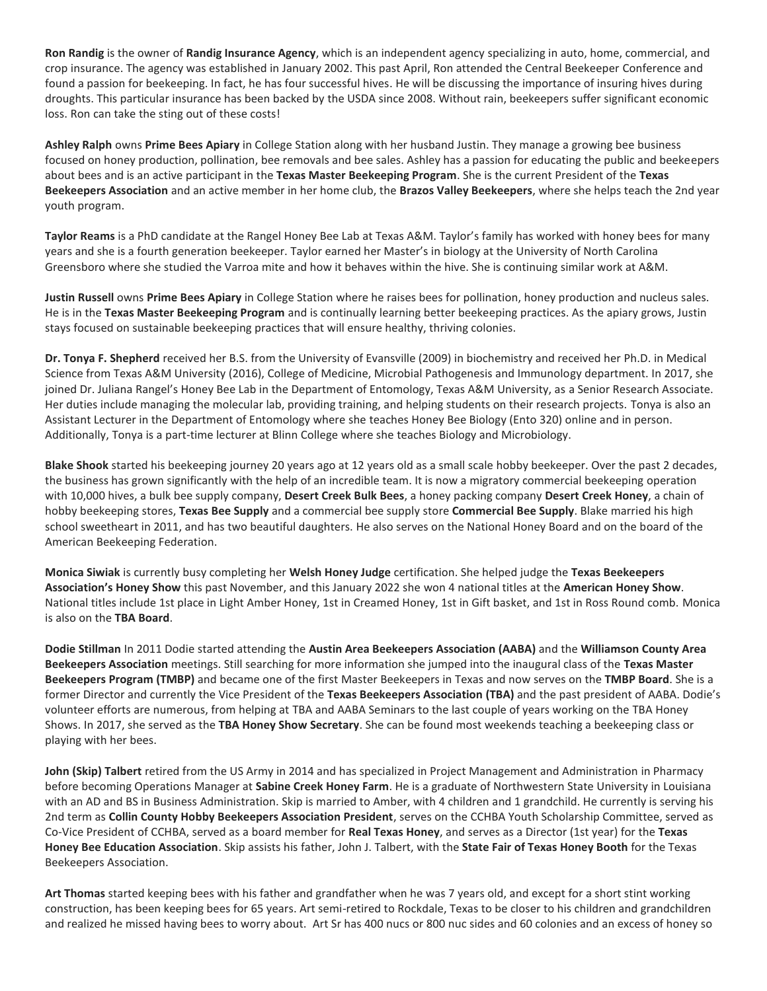**Ron Randig** is the owner of **Randig Insurance Agency**, which is an independent agency specializing in auto, home, commercial, and crop insurance. The agency was established in January 2002. This past April, Ron attended the Central Beekeeper Conference and found a passion for beekeeping. In fact, he has four successful hives. He will be discussing the importance of insuring hives during droughts. This particular insurance has been backed by the USDA since 2008. Without rain, beekeepers suffer significant economic loss. Ron can take the sting out of these costs!

**Ashley Ralph** owns **Prime Bees Apiary** in College Station along with her husband Justin. They manage a growing bee business focused on honey production, pollination, bee removals and bee sales. Ashley has a passion for educating the public and beekeepers about bees and is an active participant in the **Texas Master Beekeeping Program**. She is the current President of the **Texas Beekeepers Association** and an active member in her home club, the **Brazos Valley Beekeepers**, where she helps teach the 2nd year youth program.

**Taylor Reams** is a PhD candidate at the Rangel Honey Bee Lab at Texas A&M. Taylor's family has worked with honey bees for many years and she is a fourth generation beekeeper. Taylor earned her Master's in biology at the University of North Carolina Greensboro where she studied the Varroa mite and how it behaves within the hive. She is continuing similar work at A&M.

**Justin Russell** owns **Prime Bees Apiary** in College Station where he raises bees for pollination, honey production and nucleus sales. He is in the **Texas Master Beekeeping Program** and is continually learning better beekeeping practices. As the apiary grows, Justin stays focused on sustainable beekeeping practices that will ensure healthy, thriving colonies.

**Dr. Tonya F. Shepherd** received her B.S. from the University of Evansville (2009) in biochemistry and received her Ph.D. in Medical Science from Texas A&M University (2016), College of Medicine, Microbial Pathogenesis and Immunology department. In 2017, she joined Dr. Juliana Rangel's Honey Bee Lab in the Department of Entomology, Texas A&M University, as a Senior Research Associate. Her duties include managing the molecular lab, providing training, and helping students on their research projects. Tonya is also an Assistant Lecturer in the Department of Entomology where she teaches Honey Bee Biology (Ento 320) online and in person. Additionally, Tonya is a part-time lecturer at Blinn College where she teaches Biology and Microbiology.

**Blake Shook** started his beekeeping journey 20 years ago at 12 years old as a small scale hobby beekeeper. Over the past 2 decades, the business has grown significantly with the help of an incredible team. It is now a migratory commercial beekeeping operation with 10,000 hives, a bulk bee supply company, **Desert Creek Bulk Bees**, a honey packing company **Desert Creek Honey**, a chain of hobby beekeeping stores, **Texas Bee Supply** and a commercial bee supply store **Commercial Bee Supply**. Blake married his high school sweetheart in 2011, and has two beautiful daughters. He also serves on the National Honey Board and on the board of the American Beekeeping Federation.

**Monica Siwiak** is currently busy completing her **Welsh Honey Judge** certification. She helped judge the **Texas Beekeepers Association's Honey Show** this past November, and this January 2022 she won 4 national titles at the **American Honey Show**. National titles include 1st place in Light Amber Honey, 1st in Creamed Honey, 1st in Gift basket, and 1st in Ross Round comb. Monica is also on the **TBA Board**.

**Dodie Stillman** In 2011 Dodie started attending the **Austin Area Beekeepers Association (AABA)** and the **Williamson County Area Beekeepers Association** meetings. Still searching for more information she jumped into the inaugural class of the **Texas Master Beekeepers Program (TMBP)** and became one of the first Master Beekeepers in Texas and now serves on the **TMBP Board**. She is a former Director and currently the Vice President of the **Texas Beekeepers Association (TBA)** and the past president of AABA. Dodie's volunteer efforts are numerous, from helping at TBA and AABA Seminars to the last couple of years working on the TBA Honey Shows. In 2017, she served as the **TBA Honey Show Secretary**. She can be found most weekends teaching a beekeeping class or playing with her bees.

**John (Skip) Talbert** retired from the US Army in 2014 and has specialized in Project Management and Administration in Pharmacy before becoming Operations Manager at **Sabine Creek Honey Farm**. He is a graduate of Northwestern State University in Louisiana with an AD and BS in Business Administration. Skip is married to Amber, with 4 children and 1 grandchild. He currently is serving his 2nd term as **Collin County Hobby Beekeepers Association President**, serves on the CCHBA Youth Scholarship Committee, served as Co-Vice President of CCHBA, served as a board member for **Real Texas Honey**, and serves as a Director (1st year) for the **Texas Honey Bee Education Association**. Skip assists his father, John J. Talbert, with the **State Fair of Texas Honey Booth** for the Texas Beekeepers Association.

**Art Thomas** started keeping bees with his father and grandfather when he was 7 years old, and except for a short stint working construction, has been keeping bees for 65 years. Art semi-retired to Rockdale, Texas to be closer to his children and grandchildren and realized he missed having bees to worry about. Art Sr has 400 nucs or 800 nuc sides and 60 colonies and an excess of honey so